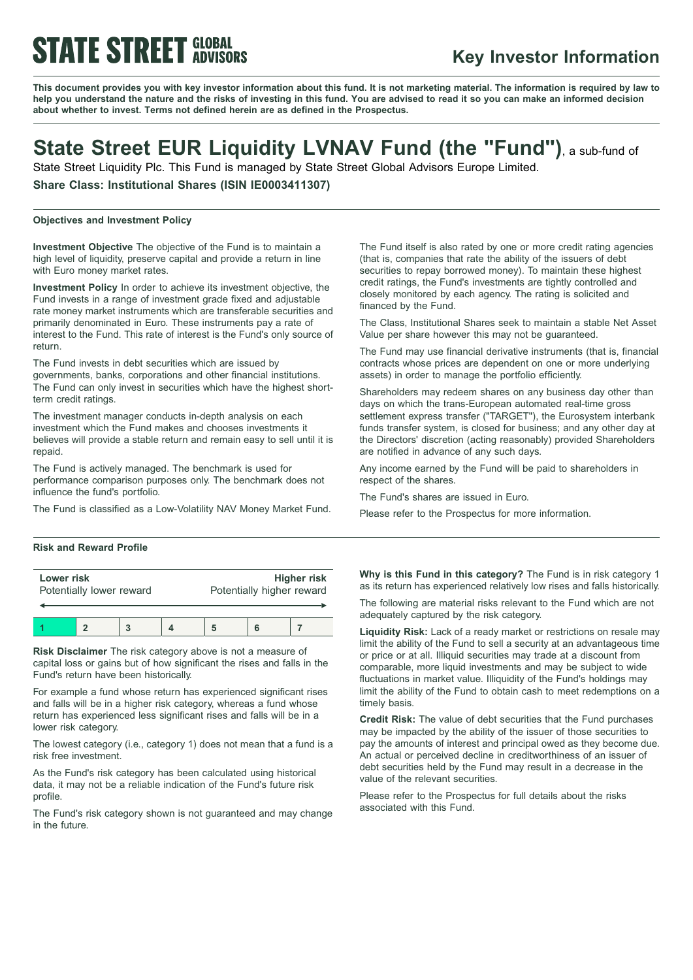# **STATE STREET GLOBAL**

### **Key Investor Information**

This document provides you with key investor information about this fund. It is not marketing material. The information is required by law to help you understand the nature and the risks of investing in this fund. You are advised to read it so you can make an informed decision **about whether to invest. Terms not defined herein are as defined in the Prospectus.**

## **State Street EUR Liquidity LVNAV Fund (the "Fund")**, <sup>a</sup> sub-fund of

State Street Liquidity Plc. This Fund is managed by State Street Global Advisors Europe Limited.

**Share Class: Institutional Shares (ISIN IE0003411307)**

#### **Objectives and Investment Policy**

**Investment Objective** The objective of the Fund is to maintain a high level of liquidity, preserve capital and provide a return in line with Euro money market rates.

**Investment Policy** In order to achieve its investment objective, the Fund invests in a range of investment grade fixed and adjustable rate money market instruments which are transferable securities and primarily denominated in Euro. These instruments pay a rate of interest to the Fund. This rate of interest is the Fund's only source of return.

The Fund invests in debt securities which are issued by governments, banks, corporations and other financial institutions. The Fund can only invest in securities which have the highest shortterm credit ratings.

The investment manager conducts in-depth analysis on each investment which the Fund makes and chooses investments it believes will provide a stable return and remain easy to sell until it is repaid.

The Fund is actively managed. The benchmark is used for performance comparison purposes only. The benchmark does not influence the fund's portfolio.

The Fund is classified as a Low-Volatility NAV Money Market Fund.

#### **Risk and Reward Profile**

| Lower risk               |  |  |  | <b>Higher risk</b>        |  |  |
|--------------------------|--|--|--|---------------------------|--|--|
| Potentially lower reward |  |  |  | Potentially higher reward |  |  |
|                          |  |  |  |                           |  |  |

**Risk Disclaimer** The risk category above is not a measure of capital loss or gains but of how significant the rises and falls in the Fund's return have been historically.

For example a fund whose return has experienced significant rises and falls will be in a higher risk category, whereas a fund whose return has experienced less significant rises and falls will be in a lower risk category.

The lowest category (i.e., category 1) does not mean that a fund is a risk free investment.

As the Fund's risk category has been calculated using historical data, it may not be a reliable indication of the Fund's future risk profile.

The Fund's risk category shown is not guaranteed and may change in the future.

The Fund itself is also rated by one or more credit rating agencies (that is, companies that rate the ability of the issuers of debt securities to repay borrowed money). To maintain these highest credit ratings, the Fund's investments are tightly controlled and closely monitored by each agency. The rating is solicited and financed by the Fund.

The Class, Institutional Shares seek to maintain a stable Net Asset Value per share however this may not be guaranteed.

The Fund may use financial derivative instruments (that is, financial contracts whose prices are dependent on one or more underlying assets) in order to manage the portfolio efficiently.

Shareholders may redeem shares on any business day other than days on which the trans-European automated real-time gross settlement express transfer ("TARGET"), the Eurosystem interbank funds transfer system, is closed for business; and any other day at the Directors' discretion (acting reasonably) provided Shareholders are notified in advance of any such days.

Any income earned by the Fund will be paid to shareholders in respect of the shares.

The Fund's shares are issued in Euro.

Please refer to the Prospectus for more information.

**Why is this Fund in this category?** The Fund is in risk category 1 as its return has experienced relatively low rises and falls historically.

The following are material risks relevant to the Fund which are not adequately captured by the risk category.

**Liquidity Risk:** Lack of a ready market or restrictions on resale may limit the ability of the Fund to sell a security at an advantageous time or price or at all. Illiquid securities may trade at a discount from comparable, more liquid investments and may be subject to wide fluctuations in market value. Illiquidity of the Fund's holdings may limit the ability of the Fund to obtain cash to meet redemptions on a timely basis.

**Credit Risk:** The value of debt securities that the Fund purchases may be impacted by the ability of the issuer of those securities to pay the amounts of interest and principal owed as they become due. An actual or perceived decline in creditworthiness of an issuer of debt securities held by the Fund may result in a decrease in the value of the relevant securities.

Please refer to the Prospectus for full details about the risks associated with this Fund.